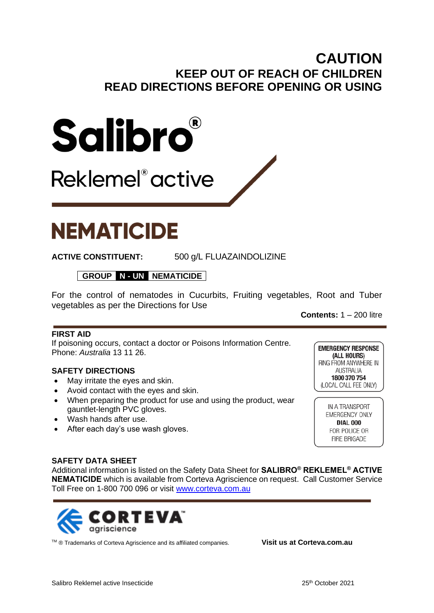# **CAUTION KEEP OUT OF REACH OF CHILDREN READ DIRECTIONS BEFORE OPENING OR USING**



Reklemel<sup>®</sup> active

# **NEMATICIDE**

**ACTIVE CONSTITUENT:** 500 g/L FLUAZAINDOLIZINE

**GROUP N - UN NEMATICIDE**

For the control of nematodes in Cucurbits, Fruiting vegetables, Root and Tuber vegetables as per the Directions for Use

**Contents:** 1 – 200 litre

# **FIRST AID**

If poisoning occurs, contact a doctor or Poisons Information Centre. Phone: *Australia* 13 11 26.

# **SAFETY DIRECTIONS**

- May irritate the eyes and skin.
- Avoid contact with the eyes and skin.
- When preparing the product for use and using the product, wear gauntlet-length PVC gloves.
- Wash hands after use.
- After each day's use wash gloves.

**EMERGENCY RESPONSE** (ALL HOURS) RING FROM ANYWHERE IN AUSTRALIA 1800 370 754 (LOCAL CALL FEE ONLY)

> IN A TRANSPORT EMERGENCY ONLY **DIAL 000** FOR POLICE OR FIRE BRIGADE

#### **SAFETY DATA SHEET**

Additional information is listed on the Safety Data Sheet for **SALIBRO® REKLEMEL® ACTIVE NEMATICIDE** which is available from Corteva Agriscience on request. Call Customer Service Toll Free on 1-800 700 096 or visit [www.corteva.com.au](http://www.corteva.com.au/)



TM ® Trademarks of Corteva Agriscience and its affiliated companies. **Visit us at Corteva.com.au**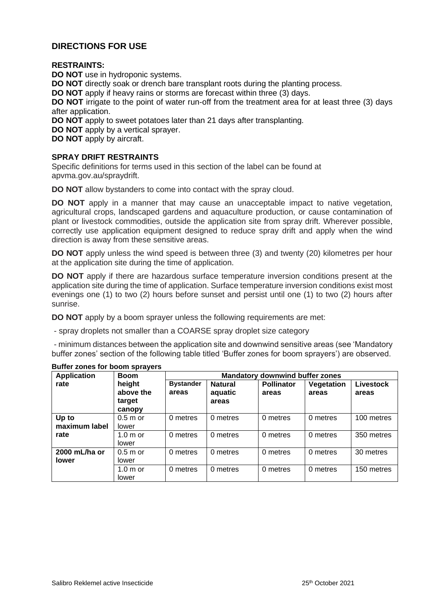### **DIRECTIONS FOR USE**

#### **RESTRAINTS:**

**DO NOT** use in hydroponic systems.

**DO NOT** directly soak or drench bare transplant roots during the planting process.

**DO NOT** apply if heavy rains or storms are forecast within three (3) days.

**DO NOT** irrigate to the point of water run-off from the treatment area for at least three (3) days after application.

**DO NOT** apply to sweet potatoes later than 21 days after transplanting.

**DO NOT** apply by a vertical sprayer.

**DO NOT** apply by aircraft.

#### **SPRAY DRIFT RESTRAINTS**

Specific definitions for terms used in this section of the label can be found at apvma.gov.au/spraydrift.

**DO NOT** allow bystanders to come into contact with the spray cloud.

**DO NOT** apply in a manner that may cause an unacceptable impact to native vegetation, agricultural crops, landscaped gardens and aquaculture production, or cause contamination of plant or livestock commodities, outside the application site from spray drift. Wherever possible, correctly use application equipment designed to reduce spray drift and apply when the wind direction is away from these sensitive areas.

**DO NOT** apply unless the wind speed is between three (3) and twenty (20) kilometres per hour at the application site during the time of application.

**DO NOT** apply if there are hazardous surface temperature inversion conditions present at the application site during the time of application. Surface temperature inversion conditions exist most evenings one (1) to two (2) hours before sunset and persist until one (1) to two (2) hours after sunrise.

**DO NOT** apply by a boom sprayer unless the following requirements are met:

- spray droplets not smaller than a COARSE spray droplet size category

- minimum distances between the application site and downwind sensitive areas (see 'Mandatory buffer zones' section of the following table titled 'Buffer zones for boom sprayers') are observed.

| <b>Application</b>            | <b>Boom</b>                             | <b>Mandatory downwind buffer zones</b> |                                    |                            |                     |                           |  |  |
|-------------------------------|-----------------------------------------|----------------------------------------|------------------------------------|----------------------------|---------------------|---------------------------|--|--|
| rate                          | height<br>above the<br>target<br>canopy | <b>Bystander</b><br>areas              | <b>Natural</b><br>aquatic<br>areas | <b>Pollinator</b><br>areas | Vegetation<br>areas | <b>Livestock</b><br>areas |  |  |
| Up to<br>maximum label        | $0.5m$ or<br>lower                      | 0 metres                               | 0 metres                           | 0 metres                   | 0 metres            | 100 metres                |  |  |
| rate                          | $1.0m$ or<br>lower                      | 0 metres                               | 0 metres                           | 0 metres                   | 0 metres            | 350 metres                |  |  |
| 2000 mL/ha or<br><b>lower</b> | $0.5m$ or<br>lower                      | 0 metres                               | 0 metres                           | 0 metres                   | 0 metres            | 30 metres                 |  |  |
|                               | $1.0m$ or<br>lower                      | 0 metres                               | 0 metres                           | 0 metres                   | 0 metres            | 150 metres                |  |  |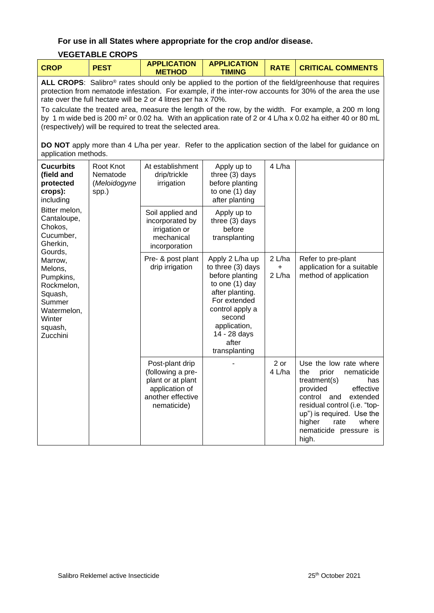#### **For use in all States where appropriate for the crop and/or disease.**

# **VEGETABLE CROPS**

| <b>PEST</b><br><b>CROP</b><br><b>TIMING</b><br><b>METHOD</b> |  |  | <b>APPLICATION</b> | <b>APPLICATION</b> |  | <b>CRITICAL COMMENTS</b> |
|--------------------------------------------------------------|--|--|--------------------|--------------------|--|--------------------------|
|--------------------------------------------------------------|--|--|--------------------|--------------------|--|--------------------------|

**ALL CROPS**: Salibro® rates should only be applied to the portion of the field/greenhouse that requires protection from nematode infestation. For example, if the inter-row accounts for 30% of the area the use rate over the full hectare will be 2 or 4 litres per ha x 70%.

To calculate the treated area, measure the length of the row, by the width. For example, a 200 m long by 1 m wide bed is 200 m<sup>2</sup> or 0.02 ha. With an application rate of 2 or 4 L/ha x 0.02 ha either 40 or 80 mL (respectively) will be required to treat the selected area.

**DO NOT** apply more than 4 L/ha per year. Refer to the application section of the label for guidance on application methods.

| <b>Cucurbits</b><br>(field and<br>protected<br>crops):<br>including<br>Bitter melon,<br>Cantaloupe,<br>Chokos,<br>Cucumber,<br>Gherkin,<br>Gourds,<br>Marrow,<br>Melons,<br>Pumpkins,<br>Rockmelon,<br>Squash,<br>Summer<br>Watermelon,<br>Winter<br>squash,<br>Zucchini | Root Knot<br>Nematode<br>(Meloidogyne<br>spp.) | At establishment<br>drip/trickle<br>irrigation                                                                  | Apply up to<br>three (3) days<br>before planting<br>to one (1) day<br>after planting                                                                                                                | 4 L/ha                        |                                                                                                                                                                                                                                                               |
|--------------------------------------------------------------------------------------------------------------------------------------------------------------------------------------------------------------------------------------------------------------------------|------------------------------------------------|-----------------------------------------------------------------------------------------------------------------|-----------------------------------------------------------------------------------------------------------------------------------------------------------------------------------------------------|-------------------------------|---------------------------------------------------------------------------------------------------------------------------------------------------------------------------------------------------------------------------------------------------------------|
|                                                                                                                                                                                                                                                                          |                                                | Soil applied and<br>incorporated by<br>irrigation or<br>mechanical<br>incorporation                             | Apply up to<br>three (3) days<br>before<br>transplanting                                                                                                                                            |                               |                                                                                                                                                                                                                                                               |
|                                                                                                                                                                                                                                                                          |                                                | Pre- & post plant<br>drip irrigation                                                                            | Apply 2 L/ha up<br>to three (3) days<br>before planting<br>to one (1) day<br>after planting.<br>For extended<br>control apply a<br>second<br>application,<br>14 - 28 days<br>after<br>transplanting | 2 L/ha<br>$\ddot{}$<br>2 L/ha | Refer to pre-plant<br>application for a suitable<br>method of application                                                                                                                                                                                     |
|                                                                                                                                                                                                                                                                          |                                                | Post-plant drip<br>(following a pre-<br>plant or at plant<br>application of<br>another effective<br>nematicide) |                                                                                                                                                                                                     | 2 or<br>4 L/ha                | Use the low rate where<br>prior<br>the<br>nematicide<br>treatment(s)<br>has<br>effective<br>provided<br>control<br>extended<br>and<br>residual control (i.e. "top-<br>up") is required. Use the<br>higher<br>where<br>rate<br>nematicide pressure is<br>high. |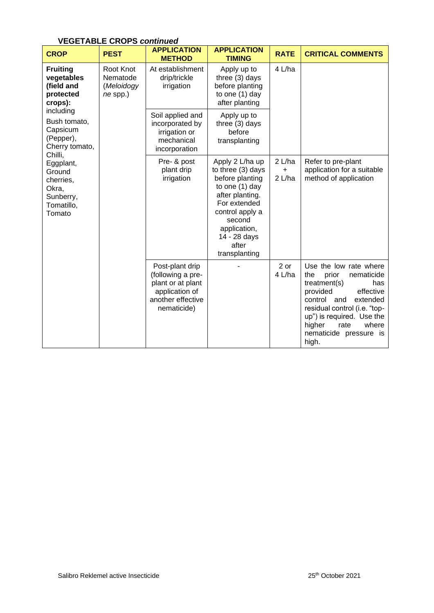| VEGETABLE CROPS <i>continued</i>                                                                                                                                                                                                         |                                                   |                                                                                                                 |                                                                                                                                                                                                       |                         |                                                                                                                                                                                                                                                               |  |  |
|------------------------------------------------------------------------------------------------------------------------------------------------------------------------------------------------------------------------------------------|---------------------------------------------------|-----------------------------------------------------------------------------------------------------------------|-------------------------------------------------------------------------------------------------------------------------------------------------------------------------------------------------------|-------------------------|---------------------------------------------------------------------------------------------------------------------------------------------------------------------------------------------------------------------------------------------------------------|--|--|
| <b>CROP</b>                                                                                                                                                                                                                              | <b>PEST</b>                                       | <b>APPLICATION</b><br><b>METHOD</b>                                                                             | <b>APPLICATION</b><br><b>TIMING</b>                                                                                                                                                                   | <b>RATE</b>             | <b>CRITICAL COMMENTS</b>                                                                                                                                                                                                                                      |  |  |
| <b>Fruiting</b><br>vegetables<br>(field and<br>protected<br>crops):<br>including<br>Bush tomato,<br>Capsicum<br>(Pepper),<br>Cherry tomato,<br>Chilli,<br>Eggplant,<br>Ground<br>cherries,<br>Okra,<br>Sunberry,<br>Tomatillo,<br>Tomato | Root Knot<br>Nematode<br>(Meloidogy<br>$ne$ spp.) | At establishment<br>drip/trickle<br>irrigation                                                                  | Apply up to<br>three (3) days<br>before planting<br>to one (1) day<br>after planting                                                                                                                  | 4 L/ha                  |                                                                                                                                                                                                                                                               |  |  |
|                                                                                                                                                                                                                                          |                                                   | Soil applied and<br>incorporated by<br>irrigation or<br>mechanical<br>incorporation                             | Apply up to<br>three (3) days<br>before<br>transplanting                                                                                                                                              |                         |                                                                                                                                                                                                                                                               |  |  |
|                                                                                                                                                                                                                                          |                                                   | Pre- & post<br>plant drip<br>irrigation                                                                         | Apply 2 L/ha up<br>to three (3) days<br>before planting<br>to one $(1)$ day<br>after planting.<br>For extended<br>control apply a<br>second<br>application,<br>14 - 28 days<br>after<br>transplanting | 2 L/ha<br>$+$<br>2 L/ha | Refer to pre-plant<br>application for a suitable<br>method of application                                                                                                                                                                                     |  |  |
|                                                                                                                                                                                                                                          |                                                   | Post-plant drip<br>(following a pre-<br>plant or at plant<br>application of<br>another effective<br>nematicide) |                                                                                                                                                                                                       | $2$ or<br>4 L/ha        | Use the low rate where<br>prior<br>nematicide<br>the<br>treatment(s)<br>has<br>effective<br>provided<br>control<br>extended<br>and<br>residual control (i.e. "top-<br>up") is required. Use the<br>higher<br>rate<br>where<br>nematicide pressure is<br>high. |  |  |

# **VEGETABLE CROPS** *continued*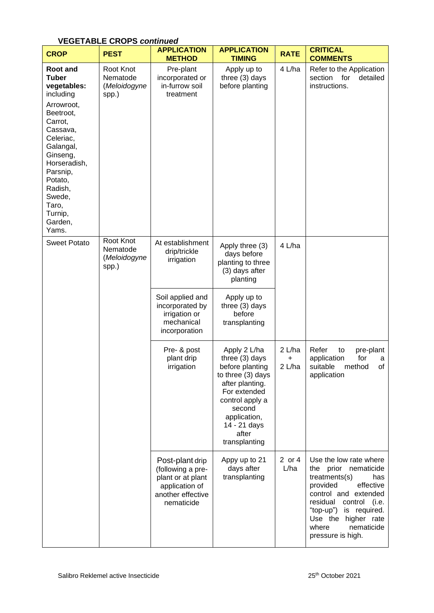| <b>CROP</b>                                                                                                                                                                                                                                             | <b>PEST</b>                                    | <b>APPLICATION</b><br><b>METHOD</b>                                                                            | <b>APPLICATION</b><br><b>TIMING</b>                                                                                                                                                              | <b>RATE</b>                   | <b>CRITICAL</b><br><b>COMMENTS</b>                                                                                                                                                                                                                      |
|---------------------------------------------------------------------------------------------------------------------------------------------------------------------------------------------------------------------------------------------------------|------------------------------------------------|----------------------------------------------------------------------------------------------------------------|--------------------------------------------------------------------------------------------------------------------------------------------------------------------------------------------------|-------------------------------|---------------------------------------------------------------------------------------------------------------------------------------------------------------------------------------------------------------------------------------------------------|
| <b>Root and</b><br><b>Tuber</b><br>vegetables:<br>including<br>Arrowroot,<br>Beetroot,<br>Carrot,<br>Cassava,<br>Celeriac,<br>Galangal,<br>Ginseng,<br>Horseradish,<br>Parsnip,<br>Potato,<br>Radish,<br>Swede,<br>Taro,<br>Turnip,<br>Garden,<br>Yams. | Root Knot<br>Nematode<br>(Meloidogyne<br>spp.) | Pre-plant<br>incorporated or<br>in-furrow soil<br>treatment                                                    | Apply up to<br>three (3) days<br>before planting                                                                                                                                                 | 4 L/ha                        | Refer to the Application<br>section<br>for<br>detailed<br>instructions.                                                                                                                                                                                 |
| <b>Sweet Potato</b>                                                                                                                                                                                                                                     | Root Knot<br>Nematode<br>(Meloidogyne<br>spp.) | At establishment<br>drip/trickle<br>irrigation                                                                 | Apply three (3)<br>days before<br>planting to three<br>(3) days after<br>planting                                                                                                                | 4 L/ha                        |                                                                                                                                                                                                                                                         |
|                                                                                                                                                                                                                                                         |                                                | Soil applied and<br>incorporated by<br>irrigation or<br>mechanical<br>incorporation                            | Apply up to<br>three (3) days<br>before<br>transplanting                                                                                                                                         |                               |                                                                                                                                                                                                                                                         |
|                                                                                                                                                                                                                                                         |                                                | Pre- & post<br>plant drip<br>irrigation                                                                        | Apply 2 L/ha<br>three (3) days<br>before planting<br>to three (3) days<br>after planting.<br>For extended<br>control apply a<br>second<br>application,<br>14 - 21 days<br>after<br>transplanting | 2 L/ha<br>$\pmb{+}$<br>2 L/ha | Refer<br>to<br>pre-plant<br>for<br>application<br>a<br>method<br>of<br>suitable<br>application                                                                                                                                                          |
|                                                                                                                                                                                                                                                         |                                                | Post-plant drip<br>(following a pre-<br>plant or at plant<br>application of<br>another effective<br>nematicide | Appy up to 21<br>days after<br>transplanting                                                                                                                                                     | 2 or 4<br>L/ha                | Use the low rate where<br>the<br>prior<br>nematicide<br>treatments(s)<br>has<br>effective<br>provided<br>control and extended<br>residual<br>control (i.e.<br>"top-up") is required.<br>Use the higher rate<br>nematicide<br>where<br>pressure is high. |

# **VEGETABLE CROPS** *continued*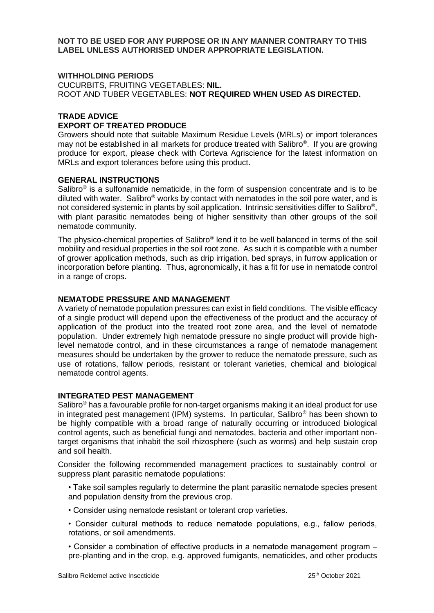**NOT TO BE USED FOR ANY PURPOSE OR IN ANY MANNER CONTRARY TO THIS LABEL UNLESS AUTHORISED UNDER APPROPRIATE LEGISLATION.**

#### **WITHHOLDING PERIODS**

CUCURBITS, FRUITING VEGETABLES: **NIL.** ROOT AND TUBER VEGETABLES: **NOT REQUIRED WHEN USED AS DIRECTED.**

# **TRADE ADVICE**

#### **EXPORT OF TREATED PRODUCE**

Growers should note that suitable Maximum Residue Levels (MRLs) or import tolerances may not be established in all markets for produce treated with Salibro®. If you are growing produce for export, please check with Corteva Agriscience for the latest information on MRLs and export tolerances before using this product.

#### **GENERAL INSTRUCTIONS**

Salibro $\mathcal{O}$  is a sulfonamide nematicide, in the form of suspension concentrate and is to be diluted with water. Salibro® works by contact with nematodes in the soil pore water, and is not considered systemic in plants by soil application. Intrinsic sensitivities differ to Salibro<sup>®</sup>, with plant parasitic nematodes being of higher sensitivity than other groups of the soil nematode community.

The physico-chemical properties of Salibro® lend it to be well balanced in terms of the soil mobility and residual properties in the soil root zone. As such it is compatible with a number of grower application methods, such as drip irrigation, bed sprays, in furrow application or incorporation before planting. Thus, agronomically, it has a fit for use in nematode control in a range of crops.

#### **NEMATODE PRESSURE AND MANAGEMENT**

A variety of nematode population pressures can exist in field conditions. The visible efficacy of a single product will depend upon the effectiveness of the product and the accuracy of application of the product into the treated root zone area, and the level of nematode population. Under extremely high nematode pressure no single product will provide highlevel nematode control, and in these circumstances a range of nematode management measures should be undertaken by the grower to reduce the nematode pressure, such as use of rotations, fallow periods, resistant or tolerant varieties, chemical and biological nematode control agents.

#### **INTEGRATED PEST MANAGEMENT**

Salibro® has a favourable profile for non-target organisms making it an ideal product for use in integrated pest management (IPM) systems. In particular, Salibro® has been shown to be highly compatible with a broad range of naturally occurring or introduced biological control agents, such as beneficial fungi and nematodes, bacteria and other important nontarget organisms that inhabit the soil rhizosphere (such as worms) and help sustain crop and soil health.

Consider the following recommended management practices to sustainably control or suppress plant parasitic nematode populations:

- Take soil samples regularly to determine the plant parasitic nematode species present and population density from the previous crop.
- Consider using nematode resistant or tolerant crop varieties.
- Consider cultural methods to reduce nematode populations, e.g., fallow periods, rotations, or soil amendments.
- Consider a combination of effective products in a nematode management program pre-planting and in the crop, e.g. approved fumigants, nematicides, and other products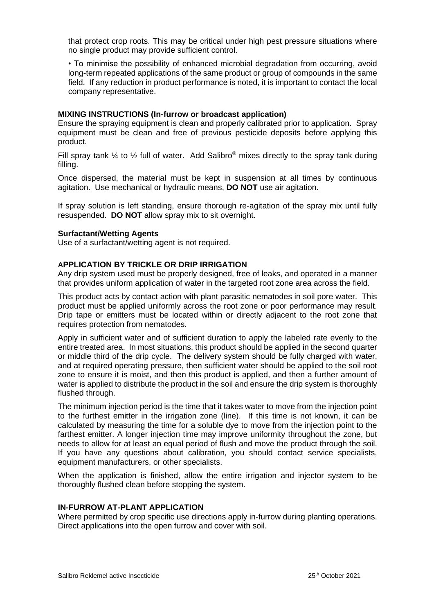that protect crop roots. This may be critical under high pest pressure situations where no single product may provide sufficient control.

• To minimise the possibility of enhanced microbial degradation from occurring, avoid long-term repeated applications of the same product or group of compounds in the same field. If any reduction in product performance is noted, it is important to contact the local company representative.

#### **MIXING INSTRUCTIONS (In-furrow or broadcast application)**

Ensure the spraying equipment is clean and properly calibrated prior to application. Spray equipment must be clean and free of previous pesticide deposits before applying this product.

Fill spray tank  $\frac{1}{4}$  to  $\frac{1}{2}$  full of water. Add Salibro® mixes directly to the spray tank during filling.

Once dispersed, the material must be kept in suspension at all times by continuous agitation. Use mechanical or hydraulic means, **DO NOT** use air agitation.

If spray solution is left standing, ensure thorough re-agitation of the spray mix until fully resuspended. **DO NOT** allow spray mix to sit overnight.

#### **Surfactant/Wetting Agents**

Use of a surfactant/wetting agent is not required.

#### **APPLICATION BY TRICKLE OR DRIP IRRIGATION**

Any drip system used must be properly designed, free of leaks, and operated in a manner that provides uniform application of water in the targeted root zone area across the field.

This product acts by contact action with plant parasitic nematodes in soil pore water. This product must be applied uniformly across the root zone or poor performance may result. Drip tape or emitters must be located within or directly adjacent to the root zone that requires protection from nematodes.

Apply in sufficient water and of sufficient duration to apply the labeled rate evenly to the entire treated area. In most situations, this product should be applied in the second quarter or middle third of the drip cycle. The delivery system should be fully charged with water, and at required operating pressure, then sufficient water should be applied to the soil root zone to ensure it is moist, and then this product is applied, and then a further amount of water is applied to distribute the product in the soil and ensure the drip system is thoroughly flushed through.

The minimum injection period is the time that it takes water to move from the injection point to the furthest emitter in the irrigation zone (line). If this time is not known, it can be calculated by measuring the time for a soluble dye to move from the injection point to the farthest emitter. A longer injection time may improve uniformity throughout the zone, but needs to allow for at least an equal period of flush and move the product through the soil. If you have any questions about calibration, you should contact service specialists, equipment manufacturers, or other specialists.

When the application is finished, allow the entire irrigation and injector system to be thoroughly flushed clean before stopping the system.

#### **IN-FURROW AT-PLANT APPLICATION**

Where permitted by crop specific use directions apply in-furrow during planting operations. Direct applications into the open furrow and cover with soil.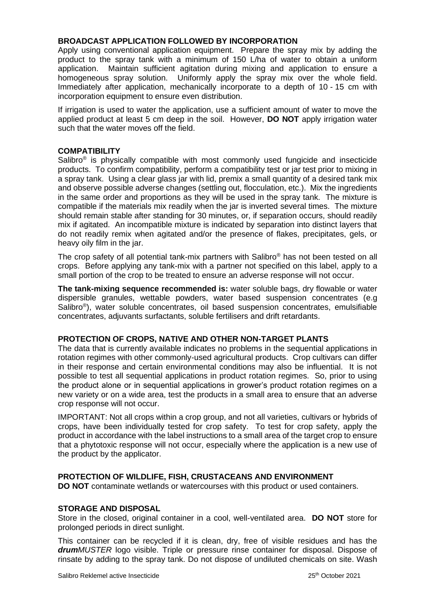#### **BROADCAST APPLICATION FOLLOWED BY INCORPORATION**

Apply using conventional application equipment. Prepare the spray mix by adding the product to the spray tank with a minimum of 150 L/ha of water to obtain a uniform application. Maintain sufficient agitation during mixing and application to ensure a homogeneous spray solution. Uniformly apply the spray mix over the whole field. Immediately after application, mechanically incorporate to a depth of 10 - 15 cm with incorporation equipment to ensure even distribution.

If irrigation is used to water the application, use a sufficient amount of water to move the applied product at least 5 cm deep in the soil. However, **DO NOT** apply irrigation water such that the water moves off the field.

#### **COMPATIBILITY**

Salibro<sup>®</sup> is physically compatible with most commonly used fungicide and insecticide products. To confirm compatibility, perform a compatibility test or jar test prior to mixing in a spray tank. Using a clear glass jar with lid, premix a small quantity of a desired tank mix and observe possible adverse changes (settling out, flocculation, etc.). Mix the ingredients in the same order and proportions as they will be used in the spray tank. The mixture is compatible if the materials mix readily when the jar is inverted several times. The mixture should remain stable after standing for 30 minutes, or, if separation occurs, should readily mix if agitated. An incompatible mixture is indicated by separation into distinct layers that do not readily remix when agitated and/or the presence of flakes, precipitates, gels, or heavy oily film in the jar.

The crop safety of all potential tank-mix partners with Salibro® has not been tested on all crops. Before applying any tank-mix with a partner not specified on this label, apply to a small portion of the crop to be treated to ensure an adverse response will not occur.

**The tank-mixing sequence recommended is:** water soluble bags, dry flowable or water dispersible granules, wettable powders, water based suspension concentrates (e.g Salibro<sup>®</sup>), water soluble concentrates, oil based suspension concentrates, emulsifiable concentrates, adjuvants surfactants, soluble fertilisers and drift retardants.

#### **PROTECTION OF CROPS, NATIVE AND OTHER NON-TARGET PLANTS**

The data that is currently available indicates no problems in the sequential applications in rotation regimes with other commonly-used agricultural products. Crop cultivars can differ in their response and certain environmental conditions may also be influential. It is not possible to test all sequential applications in product rotation regimes. So, prior to using the product alone or in sequential applications in grower's product rotation regimes on a new variety or on a wide area, test the products in a small area to ensure that an adverse crop response will not occur.

IMPORTANT: Not all crops within a crop group, and not all varieties, cultivars or hybrids of crops, have been individually tested for crop safety. To test for crop safety, apply the product in accordance with the label instructions to a small area of the target crop to ensure that a phytotoxic response will not occur, especially where the application is a new use of the product by the applicator.

# **PROTECTION OF WILDLIFE, FISH, CRUSTACEANS AND ENVIRONMENT**

**DO NOT** contaminate wetlands or watercourses with this product or used containers.

#### **STORAGE AND DISPOSAL**

Store in the closed, original container in a cool, well-ventilated area. **DO NOT** store for prolonged periods in direct sunlight.

This container can be recycled if it is clean, dry, free of visible residues and has the *drumMUSTER* logo visible. Triple or pressure rinse container for disposal. Dispose of rinsate by adding to the spray tank. Do not dispose of undiluted chemicals on site. Wash